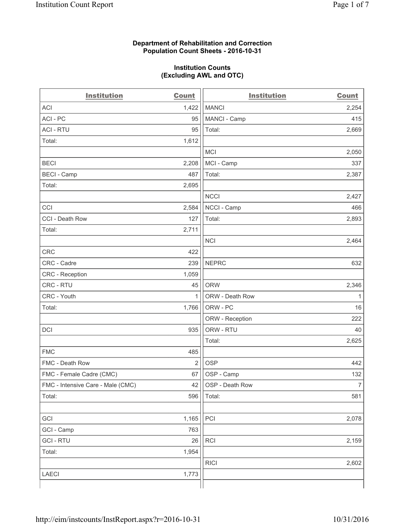#### **Department of Rehabilitation and Correction Population Count Sheets - 2016-10-31**

#### **Institution Counts (Excluding AWL and OTC)**

| <b>Institution</b>                | <b>Count</b>   | <b>Institution</b> | <b>Count</b>   |
|-----------------------------------|----------------|--------------------|----------------|
| <b>ACI</b>                        | 1,422          | <b>MANCI</b>       | 2,254          |
| ACI-PC                            | 95             | MANCI - Camp       | 415            |
| <b>ACI - RTU</b>                  | 95             | Total:             | 2,669          |
| Total:                            | 1,612          |                    |                |
|                                   |                | <b>MCI</b>         | 2,050          |
| <b>BECI</b>                       | 2,208          | MCI - Camp         | 337            |
| <b>BECI</b> - Camp                | 487            | Total:             | 2,387          |
| Total:                            | 2,695          |                    |                |
|                                   |                | <b>NCCI</b>        | 2,427          |
| CCI                               | 2,584          | NCCI - Camp        | 466            |
| CCI - Death Row                   | 127            | Total:             | 2,893          |
| Total:                            | 2,711          |                    |                |
|                                   |                | <b>NCI</b>         | 2,464          |
| <b>CRC</b>                        | 422            |                    |                |
| CRC - Cadre                       | 239            | <b>NEPRC</b>       | 632            |
| CRC - Reception                   | 1,059          |                    |                |
| CRC - RTU                         | 45             | <b>ORW</b>         | 2,346          |
| CRC - Youth                       | 1              | ORW - Death Row    | 1              |
| Total:                            | 1,766          | ORW - PC           | 16             |
|                                   |                | ORW - Reception    | 222            |
| DCI                               | 935            | ORW - RTU          | 40             |
|                                   |                | Total:             | 2,625          |
| <b>FMC</b>                        | 485            |                    |                |
| FMC - Death Row                   | $\overline{2}$ | <b>OSP</b>         | 442            |
| FMC - Female Cadre (CMC)          | 67             | OSP - Camp         | 132            |
| FMC - Intensive Care - Male (CMC) | 42             | OSP - Death Row    | $\overline{7}$ |
| Total:                            | 596            | Total:             | 581            |
|                                   |                |                    |                |
| GCI                               | 1,165          | PCI                | 2,078          |
| GCI - Camp                        | 763            |                    |                |
| <b>GCI-RTU</b>                    | 26             | RCI                | 2,159          |
| Total:                            | 1,954          |                    |                |
|                                   |                | <b>RICI</b>        | 2,602          |
| <b>LAECI</b>                      | 1,773          |                    |                |
|                                   |                |                    |                |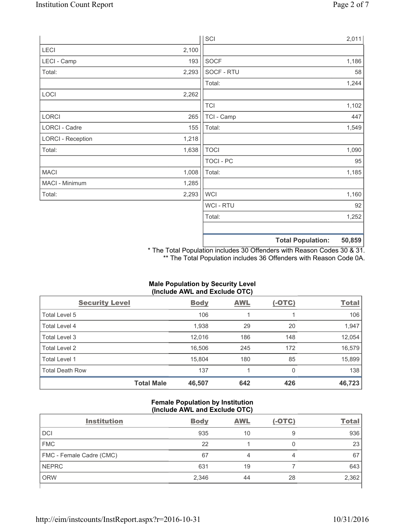|                          |       | SCI            |                          | 2,011  |
|--------------------------|-------|----------------|--------------------------|--------|
| LECI                     | 2,100 |                |                          |        |
| LECI - Camp              | 193   | SOCF           |                          | 1,186  |
| Total:                   | 2,293 | SOCF - RTU     |                          | 58     |
|                          |       | Total:         |                          | 1,244  |
| LOCI                     | 2,262 |                |                          |        |
|                          |       | <b>TCI</b>     |                          | 1,102  |
| LORCI                    | 265   | TCI - Camp     |                          | 447    |
| LORCI - Cadre            | 155   | Total:         |                          | 1,549  |
| <b>LORCI - Reception</b> | 1,218 |                |                          |        |
| Total:                   | 1,638 | <b>TOCI</b>    |                          | 1,090  |
|                          |       | TOCI - PC      |                          | 95     |
| <b>MACI</b>              | 1,008 | Total:         |                          | 1,185  |
| MACI - Minimum           | 1,285 |                |                          |        |
| Total:                   | 2,293 | <b>WCI</b>     |                          | 1,160  |
|                          |       | <b>WCI-RTU</b> |                          | 92     |
|                          |       | Total:         |                          | 1,252  |
|                          |       |                |                          |        |
|                          |       |                | <b>Total Population:</b> | 50,859 |

\* The Total Population includes 30 Offenders with Reason Codes 30 & 31. \*\* The Total Population includes 36 Offenders with Reason Code 0A.

# **Male Population by Security Level (Include AWL and Exclude OTC)**

| <b>Security Level</b>  |                   | <b>Body</b> | <b>AWL</b> | $(-OTC)$ | <b>Total</b> |
|------------------------|-------------------|-------------|------------|----------|--------------|
| Total Level 5          |                   | 106         |            |          | 106          |
| Total Level 4          |                   | 1,938       | 29         | 20       | 1,947        |
| Total Level 3          |                   | 12,016      | 186        | 148      | 12,054       |
| Total Level 2          |                   | 16,506      | 245        | 172      | 16,579       |
| Total Level 1          |                   | 15,804      | 180        | 85       | 15,899       |
| <b>Total Death Row</b> |                   | 137         | 4          | 0        | 138          |
|                        | <b>Total Male</b> | 46,507      | 642        | 426      | 46,723       |

#### **Female Population by Institution (Include AWL and Exclude OTC)**

| <b>Institution</b>       | <b>Body</b> | <b>AWL</b> | $(-OTC)$ | <b>Total</b> |
|--------------------------|-------------|------------|----------|--------------|
| <b>DCI</b>               | 935         | 10         | 9        | 936          |
| <b>FMC</b>               | 22          |            |          | 23           |
| FMC - Female Cadre (CMC) | 67          |            | 4        | 67           |
| <b>NEPRC</b>             | 631         | 19         |          | 643          |
| <b>ORW</b>               | 2,346       | 44         | 28       | 2,362        |
|                          |             |            |          |              |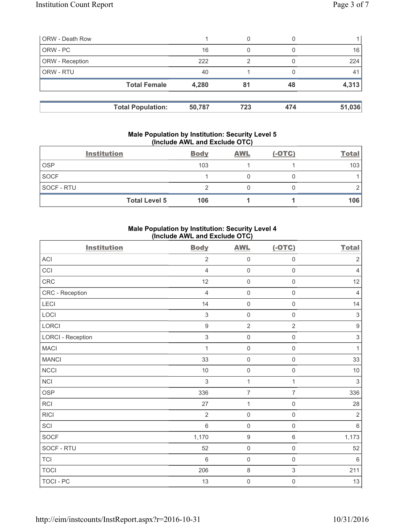| <b>ORW - Death Row</b> |                          |        | 0   |     |        |
|------------------------|--------------------------|--------|-----|-----|--------|
| ORW - PC               |                          | 16     | 0   |     | 16     |
| ORW - Reception        |                          | 222    | 2   |     | 224    |
| ORW - RTU              |                          | 40     |     |     | 41     |
|                        | <b>Total Female</b>      | 4,280  | 81  | 48  | 4,313  |
|                        |                          | 50,787 | 723 | 474 | 51,036 |
|                        | <b>Total Population:</b> |        |     |     |        |

#### **Male Population by Institution: Security Level 5 (Include AWL and Exclude OTC)**

|                   | <b>Institution</b>   | <b>Body</b> | <b>AWL</b> | $(-OTC)$ | <b>Total</b> |
|-------------------|----------------------|-------------|------------|----------|--------------|
| <b>OSP</b>        |                      | 103         |            |          | 103          |
| <b>SOCF</b>       |                      |             |            |          |              |
| <b>SOCF - RTU</b> |                      |             |            |          |              |
|                   | <b>Total Level 5</b> | 106         |            |          | 106          |

# **Male Population by Institution: Security Level 4 (Include AWL and Exclude OTC)**

| <b>Institution</b>         | <b>Body</b>      | <b>AWL</b>          | $(-OTC)$            | <b>Total</b>              |
|----------------------------|------------------|---------------------|---------------------|---------------------------|
| $\boldsymbol{\mathsf{AC}}$ | $\overline{2}$   | $\mathsf{O}\xspace$ | $\mathsf 0$         | $\sqrt{2}$                |
| CCI                        | $\overline{4}$   | $\mathsf{O}\xspace$ | $\mathsf 0$         | $\overline{4}$            |
| CRC                        | 12               | $\mathsf{O}\xspace$ | $\mathsf{O}\xspace$ | 12                        |
| CRC - Reception            | $\overline{4}$   | $\mathsf{O}\xspace$ | $\mathsf{O}\xspace$ | $\overline{4}$            |
| <b>LECI</b>                | 14               | $\mathsf{O}\xspace$ | $\mathsf{O}\xspace$ | 14                        |
| LOCI                       | $\sqrt{3}$       | $\mathsf{O}\xspace$ | $\mathsf 0$         | $\sqrt{3}$                |
| LORCI                      | $\boldsymbol{9}$ | $\overline{2}$      | $\overline{2}$      | $\boldsymbol{9}$          |
| <b>LORCI - Reception</b>   | $\sqrt{3}$       | $\mathsf{O}\xspace$ | $\mathsf{O}\xspace$ | $\ensuremath{\mathsf{3}}$ |
| <b>MACI</b>                | 1                | $\mathsf{O}\xspace$ | $\mathsf 0$         | $\mathbf{1}$              |
| <b>MANCI</b>               | 33               | $\mathsf{O}\xspace$ | $\mathsf{O}\xspace$ | 33                        |
| <b>NCCI</b>                | $10$             | $\mathsf{O}\xspace$ | $\mathsf 0$         | $10$                      |
| <b>NCI</b>                 | $\mathfrak{S}$   | $\mathbf{1}$        | $\mathbf{1}$        | $\sqrt{3}$                |
| <b>OSP</b>                 | 336              | $\overline{7}$      | 7                   | 336                       |
| RCI                        | 27               | $\mathbf 1$         | $\mathsf{O}\xspace$ | 28                        |
| <b>RICI</b>                | $\overline{2}$   | $\mathbf 0$         | $\mathsf 0$         | $\sqrt{2}$                |
| SCI                        | $6\,$            | $\mathbf 0$         | $\mathbf 0$         | $\,6\,$                   |
| SOCF                       | 1,170            | $\boldsymbol{9}$    | $\,6\,$             | 1,173                     |
| SOCF - RTU                 | 52               | $\mathsf{O}\xspace$ | $\mathsf{O}\xspace$ | 52                        |
| <b>TCI</b>                 | $6\phantom{1}$   | $\mathbf 0$         | $\mathbf 0$         | $\,6\,$                   |
| <b>TOCI</b>                | 206              | $\,8\,$             | $\mathfrak{S}$      | 211                       |
| TOCI - PC                  | 13               | $\mathbf 0$         | $\mathsf{O}\xspace$ | 13                        |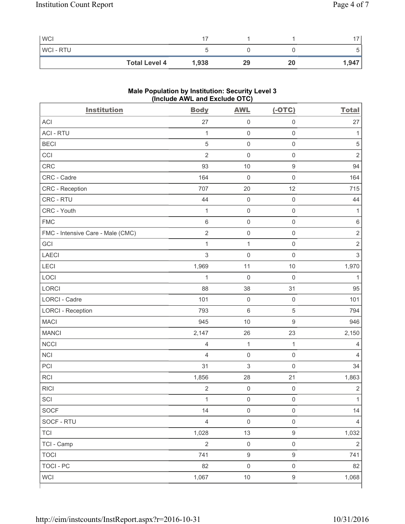| <b>WCI</b>     |                               |    |    | $\rightarrow$ |
|----------------|-------------------------------|----|----|---------------|
| <b>WCI-RTU</b> |                               |    |    | ັ             |
|                | <b>Total Level 4</b><br>1,938 | 29 | 20 | 1,947         |

# **Male Population by Institution: Security Level 3 (Include AWL and Exclude OTC)**

| <b>Institution</b>                | <b>Body</b>             | <b>AWL</b>          | $(-OTC)$            | <b>Total</b>   |
|-----------------------------------|-------------------------|---------------------|---------------------|----------------|
| <b>ACI</b>                        | 27                      | $\mathsf{O}\xspace$ | $\mathsf{O}\xspace$ | 27             |
| <b>ACI - RTU</b>                  | 1                       | $\mathsf{O}\xspace$ | $\mathsf{O}\xspace$ | 1              |
| <b>BECI</b>                       | 5                       | $\mathsf{O}\xspace$ | $\mathbf 0$         | $\sqrt{5}$     |
| CCI                               | $\overline{2}$          | $\mathsf{O}\xspace$ | $\mathsf{O}\xspace$ | $\overline{2}$ |
| <b>CRC</b>                        | 93                      | 10                  | $\boldsymbol{9}$    | 94             |
| CRC - Cadre                       | 164                     | $\mathsf{O}\xspace$ | $\mathsf{O}\xspace$ | 164            |
| CRC - Reception                   | 707                     | 20                  | 12                  | 715            |
| CRC - RTU                         | 44                      | $\mathsf{O}\xspace$ | $\mathbf 0$         | 44             |
| CRC - Youth                       | $\mathbf{1}$            | $\mathsf{O}\xspace$ | $\mathbf 0$         | $\mathbf 1$    |
| <b>FMC</b>                        | 6                       | $\mathsf{O}\xspace$ | $\mathbf 0$         | $\,6$          |
| FMC - Intensive Care - Male (CMC) | $\sqrt{2}$              | $\mathsf 0$         | $\mathsf{O}\xspace$ | $\mathbf 2$    |
| GCI                               | $\mathbf{1}$            | $\mathbf{1}$        | $\mathbf 0$         | $\sqrt{2}$     |
| <b>LAECI</b>                      | 3                       | $\mathbf 0$         | $\mathsf{O}\xspace$ | $\mathsf 3$    |
| LECI                              | 1,969                   | 11                  | 10                  | 1,970          |
| LOCI                              | $\mathbf{1}$            | $\mathsf{O}\xspace$ | $\mathbf 0$         | 1              |
| LORCI                             | 88                      | 38                  | 31                  | 95             |
| LORCI - Cadre                     | 101                     | $\mathsf{O}\xspace$ | $\mathbf 0$         | 101            |
| <b>LORCI - Reception</b>          | 793                     | $\,$ 6 $\,$         | $\,$ 5 $\,$         | 794            |
| <b>MACI</b>                       | 945                     | 10                  | $\mathsf g$         | 946            |
| <b>MANCI</b>                      | 2,147                   | 26                  | 23                  | 2,150          |
| <b>NCCI</b>                       | 4                       | $\mathbf{1}$        | $\mathbf{1}$        | 4              |
| NCI                               | 4                       | $\mathsf{O}\xspace$ | $\mathbf 0$         | 4              |
| PCI                               | 31                      | 3                   | $\mathsf{O}\xspace$ | 34             |
| RCI                               | 1,856                   | 28                  | 21                  | 1,863          |
| <b>RICI</b>                       | $\overline{\mathbf{c}}$ | $\mathbf 0$         | $\mathbf 0$         | $\sqrt{2}$     |
| $\ensuremath{\mathsf{SCI}}$       | $\mathbf{1}$            | $\mathbf 0$         | $\mathbf 0$         | $\mathbf{1}$   |
| <b>SOCF</b>                       | 14                      | $\mathsf 0$         | $\mathsf{O}\xspace$ | 14             |
| SOCF - RTU                        | $\overline{4}$          | $\mathsf 0$         | $\mathsf{O}\xspace$ | $\overline{4}$ |
| <b>TCI</b>                        | 1,028                   | 13                  | $\boldsymbol{9}$    | 1,032          |
| TCI - Camp                        | $\sqrt{2}$              | $\mathsf{O}\xspace$ | $\mathbf 0$         | $\sqrt{2}$     |
| <b>TOCI</b>                       | 741                     | $\mathsf g$         | $\boldsymbol{9}$    | 741            |
| <b>TOCI - PC</b>                  | 82                      | $\mathsf 0$         | $\mathsf{O}\xspace$ | 82             |
| <b>WCI</b>                        | 1,067                   | $10$                | $\boldsymbol{9}$    | 1,068          |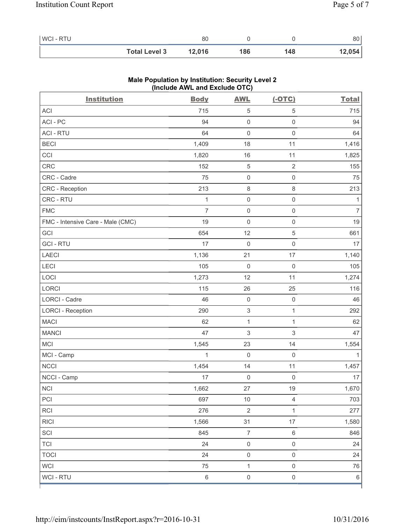| <b>WCI-RTU</b> |                      | 80     |     |     | 80     |
|----------------|----------------------|--------|-----|-----|--------|
|                | <b>Total Level 3</b> | 12,016 | 186 | 148 | 12,054 |

| <b>Institution</b>                | $(III$ CIUDE AVE and EXCIUDE $O(O)$<br><b>Body</b> | <b>AWL</b>                | $(-OTC)$            | <b>Total</b>   |
|-----------------------------------|----------------------------------------------------|---------------------------|---------------------|----------------|
| ACI                               | 715                                                | $\,$ 5 $\,$               | 5                   | 715            |
| ACI-PC                            | 94                                                 | $\mathsf{O}\xspace$       | $\mathsf 0$         | 94             |
| <b>ACI - RTU</b>                  | 64                                                 | $\mathsf{O}\xspace$       | $\mathbf 0$         | 64             |
| <b>BECI</b>                       | 1,409                                              | 18                        | 11                  | 1,416          |
| CCI                               | 1,820                                              | 16                        | 11                  | 1,825          |
| CRC                               | 152                                                | $\,$ 5 $\,$               | $\sqrt{2}$          | 155            |
| CRC - Cadre                       | 75                                                 | $\mathsf{O}\xspace$       | $\mathsf{O}\xspace$ | 75             |
| CRC - Reception                   | 213                                                | $\,8\,$                   | $\,8\,$             | 213            |
| CRC - RTU                         | $\mathbf 1$                                        | $\mathsf{O}\xspace$       | $\mathsf 0$         | 1              |
| <b>FMC</b>                        | $\overline{7}$                                     | $\mathsf{O}\xspace$       | $\mathsf 0$         | $\overline{7}$ |
| FMC - Intensive Care - Male (CMC) | 19                                                 | 0                         | $\mathsf 0$         | 19             |
| GCI                               | 654                                                | 12                        | $\sqrt{5}$          | 661            |
| <b>GCI-RTU</b>                    | 17                                                 | $\mathsf{O}\xspace$       | $\mathsf 0$         | 17             |
| LAECI                             | 1,136                                              | 21                        | 17                  | 1,140          |
| LECI                              | 105                                                | $\mathsf 0$               | $\mathsf 0$         | 105            |
| LOCI                              | 1,273                                              | 12                        | 11                  | 1,274          |
| LORCI                             | 115                                                | 26                        | 25                  | 116            |
| LORCI - Cadre                     | 46                                                 | 0                         | $\mathsf 0$         | 46             |
| <b>LORCI - Reception</b>          | 290                                                | $\mathsf 3$               | $\mathbf{1}$        | 292            |
| <b>MACI</b>                       | 62                                                 | $\mathbf{1}$              | $\mathbf{1}$        | 62             |
| <b>MANCI</b>                      | 47                                                 | $\ensuremath{\mathsf{3}}$ | $\sqrt{3}$          | 47             |
| MCI                               | 1,545                                              | 23                        | 14                  | 1,554          |
| MCI - Camp                        | 1                                                  | 0                         | $\mathsf{O}\xspace$ | 1              |
| NCCI                              | 1,454                                              | 14                        | 11                  | 1,457          |
| NCCI - Camp                       | 17                                                 | $\mathsf{O}\xspace$       | $\mathsf 0$         | 17             |
| NCI                               | 1,662                                              | 27                        | 19                  | 1,670          |
| PCI                               | 697                                                | $10$                      | $\overline{4}$      | 703            |
| <b>RCI</b>                        | 276                                                | $\overline{2}$            | $\mathbf{1}$        | 277            |
| RICI                              | 1,566                                              | 31                        | 17                  | 1,580          |
| SCI                               | 845                                                | $\overline{7}$            | $\,6\,$             | 846            |
| <b>TCI</b>                        | 24                                                 | $\mathsf{O}\xspace$       | $\mathsf{O}\xspace$ | 24             |
| <b>TOCI</b>                       | 24                                                 | $\mathsf{O}\xspace$       | $\mathsf 0$         | 24             |
| <b>WCI</b>                        | 75                                                 | $\mathbf{1}$              | $\mathsf 0$         | 76             |
| WCI - RTU                         | $\,6$                                              | $\mathsf{O}\xspace$       | $\mathsf 0$         | $\,6\,$        |

### **Male Population by Institution: Security Level 2 (Include AWL and Exclude OTC)**

ľ

٦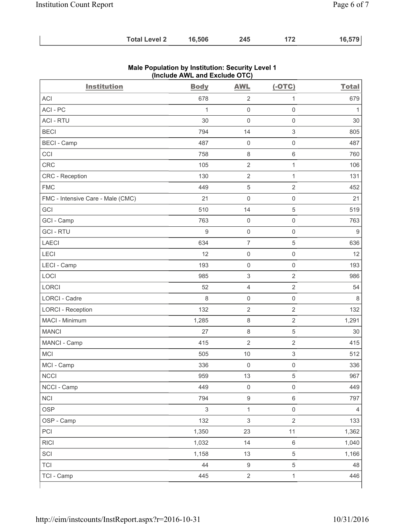| <b>Total Level 2</b> | 16,506 | 245 |  | 16,579 |
|----------------------|--------|-----|--|--------|
|----------------------|--------|-----|--|--------|

| <b>Institution</b>                | <b>Body</b>  | <b>AWL</b>                | $(-OTC)$            | <b>Total</b>   |
|-----------------------------------|--------------|---------------------------|---------------------|----------------|
| <b>ACI</b>                        | 678          | $\overline{2}$            | 1                   | 679            |
| ACI - PC                          | $\mathbf{1}$ | $\mathsf{O}\xspace$       | $\mathsf{O}\xspace$ | 1              |
| <b>ACI - RTU</b>                  | 30           | $\mathbf 0$               | $\mathsf 0$         | 30             |
| <b>BECI</b>                       | 794          | 14                        | $\mathsf 3$         | 805            |
| <b>BECI - Camp</b>                | 487          | $\mathbf 0$               | $\mathsf{O}\xspace$ | 487            |
| CCI                               | 758          | $\,8\,$                   | 6                   | 760            |
| <b>CRC</b>                        | 105          | $\overline{2}$            | $\mathbf{1}$        | 106            |
| CRC - Reception                   | 130          | $\overline{2}$            | $\mathbf{1}$        | 131            |
| <b>FMC</b>                        | 449          | $\sqrt{5}$                | $\overline{2}$      | 452            |
| FMC - Intensive Care - Male (CMC) | 21           | $\mathbf 0$               | $\mathsf{O}\xspace$ | 21             |
| GCI                               | 510          | 14                        | $\,$ 5 $\,$         | 519            |
| GCI - Camp                        | 763          | $\mathbf 0$               | $\mathsf{O}\xspace$ | 763            |
| <b>GCI-RTU</b>                    | 9            | $\mathsf{O}\xspace$       | $\mathsf 0$         | $\hbox{9}$     |
| <b>LAECI</b>                      | 634          | $\overline{7}$            | $\,$ 5 $\,$         | 636            |
| LECI                              | 12           | $\mathsf{O}\xspace$       | $\mathsf{O}\xspace$ | 12             |
| LECI - Camp                       | 193          | $\mathbf 0$               | $\mathsf{O}\xspace$ | 193            |
| LOCI                              | 985          | $\mathsf 3$               | $\overline{2}$      | 986            |
| <b>LORCI</b>                      | 52           | $\overline{\mathbf{4}}$   | $\overline{2}$      | 54             |
| <b>LORCI - Cadre</b>              | 8            | $\mathsf{O}\xspace$       | $\mathsf{O}\xspace$ | 8              |
| <b>LORCI - Reception</b>          | 132          | $\overline{2}$            | $\overline{2}$      | 132            |
| MACI - Minimum                    | 1,285        | $\,8\,$                   | $\overline{2}$      | 1,291          |
| <b>MANCI</b>                      | 27           | $\,8\,$                   | 5                   | 30             |
| MANCI - Camp                      | 415          | $\overline{2}$            | $\mathbf 2$         | 415            |
| MCI                               | 505          | $10$                      | $\mathfrak{S}$      | 512            |
| MCI - Camp                        | 336          | $\mathsf{O}\xspace$       | $\mathsf{O}\xspace$ | 336            |
| <b>NCCI</b>                       | 959          | 13                        | $\,$ 5 $\,$         | 967            |
| NCCI - Camp                       | 449          | $\mathsf{O}\xspace$       | $\mathsf{O}\xspace$ | 449            |
| <b>NCI</b>                        | 794          | $\boldsymbol{9}$          | $\,6\,$             | 797            |
| <b>OSP</b>                        | $\sqrt{3}$   | $\mathbf{1}$              | $\mathsf{O}\xspace$ | $\overline{4}$ |
| OSP - Camp                        | 132          | $\ensuremath{\mathsf{3}}$ | $\overline{2}$      | 133            |
| PCI                               | 1,350        | 23                        | 11                  | 1,362          |
| <b>RICI</b>                       | 1,032        | 14                        | $\,6\,$             | 1,040          |
| SCI                               | 1,158        | 13                        | 5                   | 1,166          |
| <b>TCI</b>                        | 44           | $\boldsymbol{9}$          | 5                   | 48             |
| TCI - Camp                        | 445          | $\mathbf 2$               | $\mathbf{1}$        | 446            |

### **Male Population by Institution: Security Level 1 (Include AWL and Exclude OTC)**